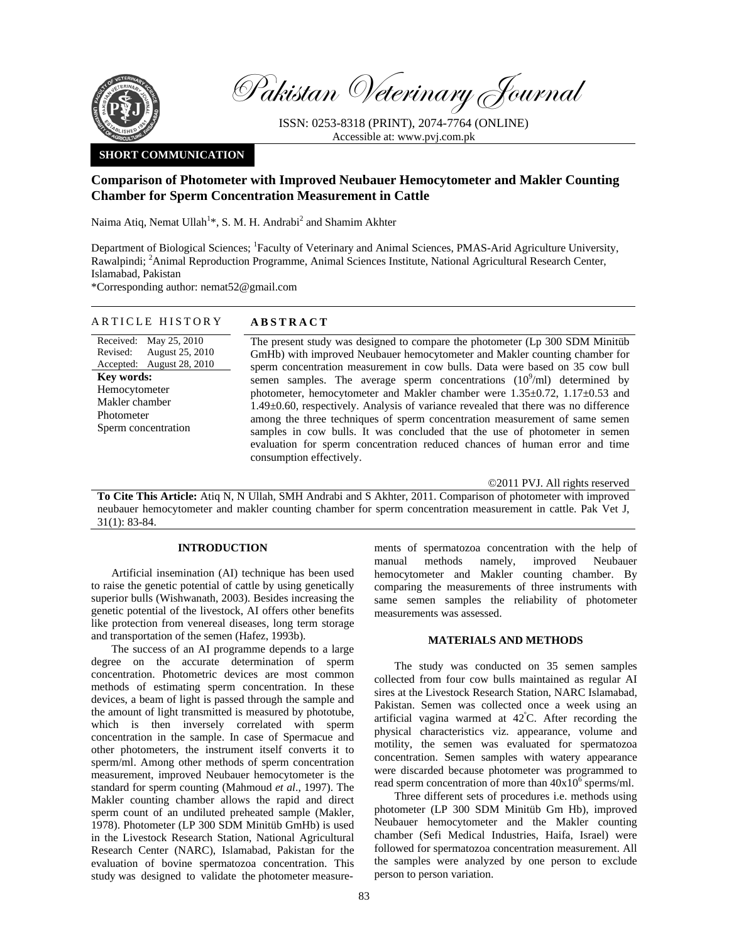

Pakistan Veterinary Journal

ISSN: 0253-8318 (PRINT), 2074-7764 (ONLINE) Accessible at: www.pvj.com.pk

# **SHORT COMMUNICATION**

# **Comparison of Photometer with Improved Neubauer Hemocytometer and Makler Counting Chamber for Sperm Concentration Measurement in Cattle**

Naima Atiq, Nemat Ullah<sup>1</sup>\*, S. M. H. Andrabi<sup>2</sup> and Shamim Akhter

Department of Biological Sciences; <sup>1</sup>Faculty of Veterinary and Animal Sciences, PMAS-Arid Agriculture University, Rawalpindi; <sup>2</sup>Animal Reproduction Programme, Animal Sciences Institute, National Agricultural Research Center, Islamabad, Pakistan

\*Corresponding author: nemat52@gmail.com

## ARTICLE HISTORY **ABSTRACT**

Received: May 25, 2010 Revised: Accepted: August 25, 2010 August 28, 2010 **Key words:**  Hemocytometer Makler chamber Photometer Sperm concentration

The present study was designed to compare the photometer (Lp 300 SDM Minitüb GmHb) with improved Neubauer hemocytometer and Makler counting chamber for sperm concentration measurement in cow bulls. Data were based on 35 cow bull semen samples. The average sperm concentrations  $(10^9/\text{ml})$  determined by photometer, hemocytometer and Makler chamber were 1.35±0.72, 1.17±0.53 and 1.49±0.60, respectively. Analysis of variance revealed that there was no difference among the three techniques of sperm concentration measurement of same semen samples in cow bulls. It was concluded that the use of photometer in semen evaluation for sperm concentration reduced chances of human error and time consumption effectively.

©2011 PVJ. All rights reserved

**To Cite This Article:** Atiq N, N Ullah, SMH Andrabi and S Akhter, 2011. Comparison of photometer with improved neubauer hemocytometer and makler counting chamber for sperm concentration measurement in cattle. Pak Vet J, 31(1): 83-84.

## **INTRODUCTION**

Artificial insemination (AI) technique has been used to raise the genetic potential of cattle by using genetically superior bulls (Wishwanath, 2003). Besides increasing the genetic potential of the livestock, AI offers other benefits like protection from venereal diseases, long term storage and transportation of the semen (Hafez, 1993b).

The success of an AI programme depends to a large degree on the accurate determination of sperm concentration. Photometric devices are most common methods of estimating sperm concentration. In these devices, a beam of light is passed through the sample and the amount of light transmitted is measured by phototube, which is then inversely correlated with sperm concentration in the sample. In case of Spermacue and other photometers, the instrument itself converts it to sperm/ml. Among other methods of sperm concentration measurement, improved Neubauer hemocytometer is the standard for sperm counting (Mahmoud *et al*., 1997). The Makler counting chamber allows the rapid and direct sperm count of an undiluted preheated sample (Makler, 1978). Photometer (LP 300 SDM Minitüb GmHb) is used in the Livestock Research Station, National Agricultural Research Center (NARC), Islamabad, Pakistan for the evaluation of bovine spermatozoa concentration. This study was designed to validate the photometer measurements of spermatozoa concentration with the help of manual methods namely, improved Neubauer hemocytometer and Makler counting chamber. By comparing the measurements of three instruments with same semen samples the reliability of photometer measurements was assessed.

## **MATERIALS AND METHODS**

The study was conducted on 35 semen samples collected from four cow bulls maintained as regular AI sires at the Livestock Research Station, NARC Islamabad, Pakistan. Semen was collected once a week using an artificial vagina warmed at 42º C. After recording the physical characteristics viz. appearance, volume and motility, the semen was evaluated for spermatozoa concentration. Semen samples with watery appearance were discarded because photometer was programmed to read sperm concentration of more than  $40x10^6$  sperms/ml.

Three different sets of procedures i.e. methods using photometer (LP 300 SDM Minitüb Gm Hb), improved Neubauer hemocytometer and the Makler counting chamber (Sefi Medical Industries, Haifa, Israel) were followed for spermatozoa concentration measurement. All the samples were analyzed by one person to exclude person to person variation.